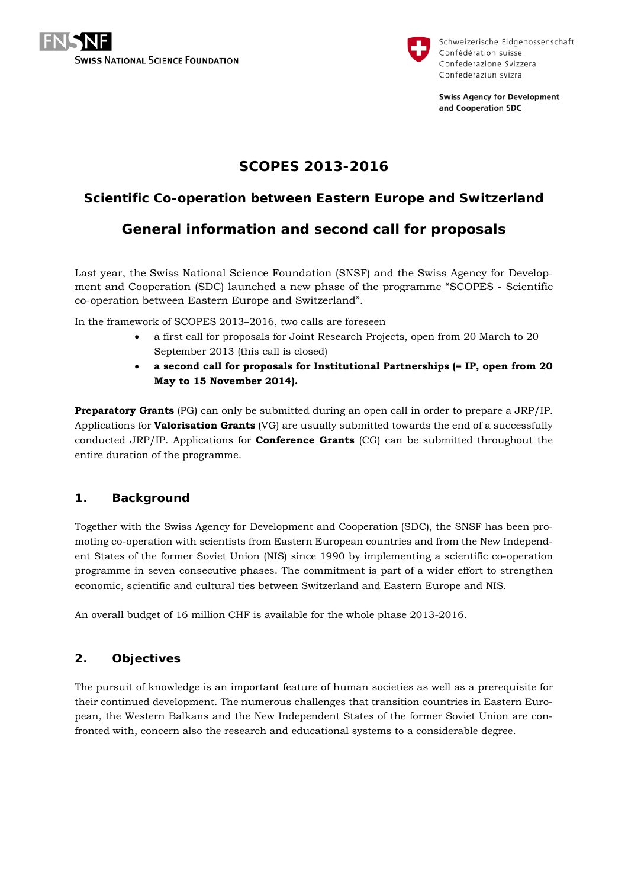



Schweizerische Eidgenossenschaft Confédération suisse Confederazione Svizzera Confederaziun svizra

**Swiss Agency for Development** and Cooperation SDC

# **SCOPES 2013-2016**

# **Scientific Co-operation between Eastern Europe and Switzerland**

# **General information and second call for proposals**

Last year, the Swiss National Science Foundation (SNSF) and the Swiss Agency for Development and Cooperation (SDC) launched a new phase of the programme "SCOPES - Scientific co-operation between Eastern Europe and Switzerland".

In the framework of SCOPES 2013–2016, two calls are foreseen

- a first call for proposals for Joint Research Projects, open from 20 March to 20 September 2013 (this call is closed)
- **a second call for proposals for Institutional Partnerships (= IP, open from 20 May to 15 November 2014).**

**Preparatory Grants** (PG) can only be submitted during an open call in order to prepare a JRP/IP. Applications for **Valorisation Grants** (VG) are usually submitted towards the end of a successfully conducted JRP/IP. Applications for **Conference Grants** (CG) can be submitted throughout the entire duration of the programme.

## **1. Background**

Together with the Swiss Agency for Development and Cooperation (SDC), the SNSF has been promoting co-operation with scientists from Eastern European countries and from the New Independent States of the former Soviet Union (NIS) since 1990 by implementing a scientific co-operation programme in seven consecutive phases. The commitment is part of a wider effort to strengthen economic, scientific and cultural ties between Switzerland and Eastern Europe and NIS.

An overall budget of 16 million CHF is available for the whole phase 2013-2016.

## **2. Objectives**

The pursuit of knowledge is an important feature of human societies as well as a prerequisite for their continued development. The numerous challenges that transition countries in Eastern European, the Western Balkans and the New Independent States of the former Soviet Union are confronted with, concern also the research and educational systems to a considerable degree.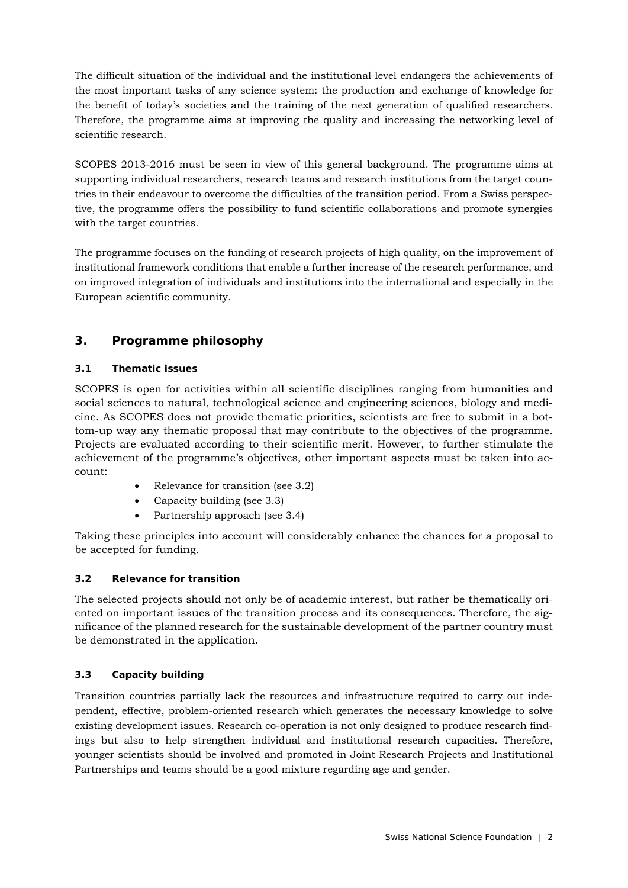The difficult situation of the individual and the institutional level endangers the achievements of the most important tasks of any science system: the production and exchange of knowledge for the benefit of today's societies and the training of the next generation of qualified researchers. Therefore, the programme aims at improving the quality and increasing the networking level of scientific research.

SCOPES 2013-2016 must be seen in view of this general background. The programme aims at supporting individual researchers, research teams and research institutions from the target countries in their endeavour to overcome the difficulties of the transition period. From a Swiss perspective, the programme offers the possibility to fund scientific collaborations and promote synergies with the target countries.

The programme focuses on the funding of research projects of high quality, on the improvement of institutional framework conditions that enable a further increase of the research performance, and on improved integration of individuals and institutions into the international and especially in the European scientific community.

## **3. Programme philosophy**

## **3.1 Thematic issues**

SCOPES is open for activities within all scientific disciplines ranging from humanities and social sciences to natural, technological science and engineering sciences, biology and medicine. As SCOPES does not provide thematic priorities, scientists are free to submit in a bottom-up way any thematic proposal that may contribute to the objectives of the programme. Projects are evaluated according to their scientific merit. However, to further stimulate the achievement of the programme's objectives, other important aspects must be taken into account:

- Relevance for transition (see 3.2)
- Capacity building (see 3.3)
- Partnership approach (see 3.4)

Taking these principles into account will considerably enhance the chances for a proposal to be accepted for funding.

## **3.2 Relevance for transition**

The selected projects should not only be of academic interest, but rather be thematically oriented on important issues of the transition process and its consequences. Therefore, the significance of the planned research for the sustainable development of the partner country must be demonstrated in the application.

## **3.3 Capacity building**

Transition countries partially lack the resources and infrastructure required to carry out independent, effective, problem-oriented research which generates the necessary knowledge to solve existing development issues. Research co-operation is not only designed to produce research findings but also to help strengthen individual and institutional research capacities. Therefore, younger scientists should be involved and promoted in Joint Research Projects and Institutional Partnerships and teams should be a good mixture regarding age and gender.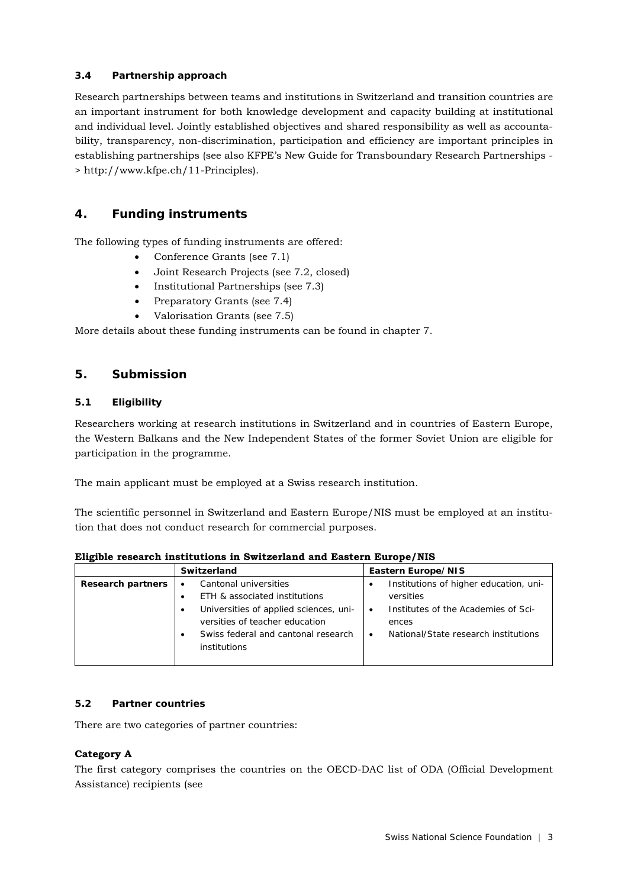#### **3.4 Partnership approach**

Research partnerships between teams and institutions in Switzerland and transition countries are an important instrument for both knowledge development and capacity building at institutional and individual level. Jointly established objectives and shared responsibility as well as accountability, transparency, non-discrimination, participation and efficiency are important principles in establishing partnerships (see also KFPE's New Guide for Transboundary Research Partnerships - > http://www.kfpe.ch/11-Principles).

## **4. Funding instruments**

The following types of funding instruments are offered:

- Conference Grants (see 7.1)
- Joint Research Projects (see 7.2, closed)
- Institutional Partnerships (see 7.3)
- Preparatory Grants (see 7.4)
- Valorisation Grants (see 7.5)

More details about these funding instruments can be found in chapter 7.

## **5. Submission**

#### **5.1 Eligibility**

Researchers working at research institutions in Switzerland and in countries of Eastern Europe, the Western Balkans and the New Independent States of the former Soviet Union are eligible for participation in the programme.

The main applicant must be employed at a Swiss research institution.

The scientific personnel in Switzerland and Eastern Europe/NIS must be employed at an institution that does not conduct research for commercial purposes.

| Eligible research institutions in Switzerland and Eastern Europe/NIS |  |  |  |  |  |
|----------------------------------------------------------------------|--|--|--|--|--|
|----------------------------------------------------------------------|--|--|--|--|--|

|                          | Switzerland                            | Eastern Europe/NIS                                  |  |  |
|--------------------------|----------------------------------------|-----------------------------------------------------|--|--|
| <b>Research partners</b> | Cantonal universities                  | Institutions of higher education, uni-<br>$\bullet$ |  |  |
|                          | ETH & associated institutions          | versities                                           |  |  |
|                          | Universities of applied sciences, uni- | Institutes of the Academies of Sci-<br>$\bullet$    |  |  |
|                          | versities of teacher education         | ences                                               |  |  |
|                          | Swiss federal and cantonal research    | National/State research institutions<br>$\bullet$   |  |  |
|                          | institutions                           |                                                     |  |  |
|                          |                                        |                                                     |  |  |

#### **5.2 Partner countries**

There are two categories of partner countries:

#### **Category A**

The first category comprises the countries on the OECD-DAC list of ODA (Official Development Assistance) recipients (see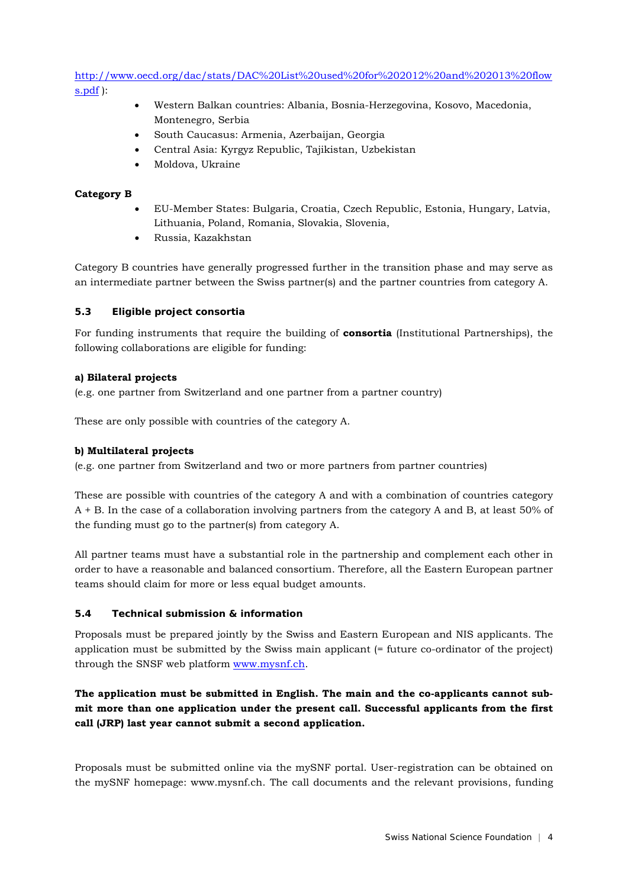[http://www.oecd.org/dac/stats/DAC%20List%20used%20for%202012%20and%202013%20flow](http://www.oecd.org/dac/stats/DAC%20List%20used%20for%202012%20and%202013%20flows.pdf) [s.pdf](http://www.oecd.org/dac/stats/DAC%20List%20used%20for%202012%20and%202013%20flows.pdf) ):

- Western Balkan countries: Albania, Bosnia-Herzegovina, Kosovo, Macedonia, Montenegro, Serbia
- South Caucasus: Armenia, Azerbaijan, Georgia
- Central Asia: Kyrgyz Republic, Tajikistan, Uzbekistan
- Moldova, Ukraine

#### **Category B**

- EU-Member States: Bulgaria, Croatia, Czech Republic, Estonia, Hungary, Latvia, Lithuania, Poland, Romania, Slovakia, Slovenia,
- Russia, Kazakhstan

Category B countries have generally progressed further in the transition phase and may serve as an intermediate partner between the Swiss partner(s) and the partner countries from category A.

#### **5.3 Eligible project consortia**

For funding instruments that require the building of **consortia** (Institutional Partnerships), the following collaborations are eligible for funding:

#### **a) Bilateral projects**

(e.g. one partner from Switzerland and one partner from a partner country)

These are only possible with countries of the category A.

#### **b) Multilateral projects**

(e.g. one partner from Switzerland and two or more partners from partner countries)

These are possible with countries of the category A and with a combination of countries category A + B. In the case of a collaboration involving partners from the category A and B, at least 50% of the funding must go to the partner(s) from category A.

All partner teams must have a substantial role in the partnership and complement each other in order to have a reasonable and balanced consortium. Therefore, all the Eastern European partner teams should claim for more or less equal budget amounts.

#### **5.4 Technical submission & information**

Proposals must be prepared jointly by the Swiss and Eastern European and NIS applicants. The application must be submitted by the Swiss main applicant (= future co-ordinator of the project) through the SNSF web platform [www.mysnf.ch.](http://www.mysnf.ch/)

## **The application must be submitted in English. The main and the co-applicants cannot submit more than one application under the present call. Successful applicants from the first call (JRP) last year cannot submit a second application.**

Proposals must be submitted online via the mySNF portal. User-registration can be obtained on the mySNF homepage: www.mysnf.ch. The call documents and the relevant provisions, funding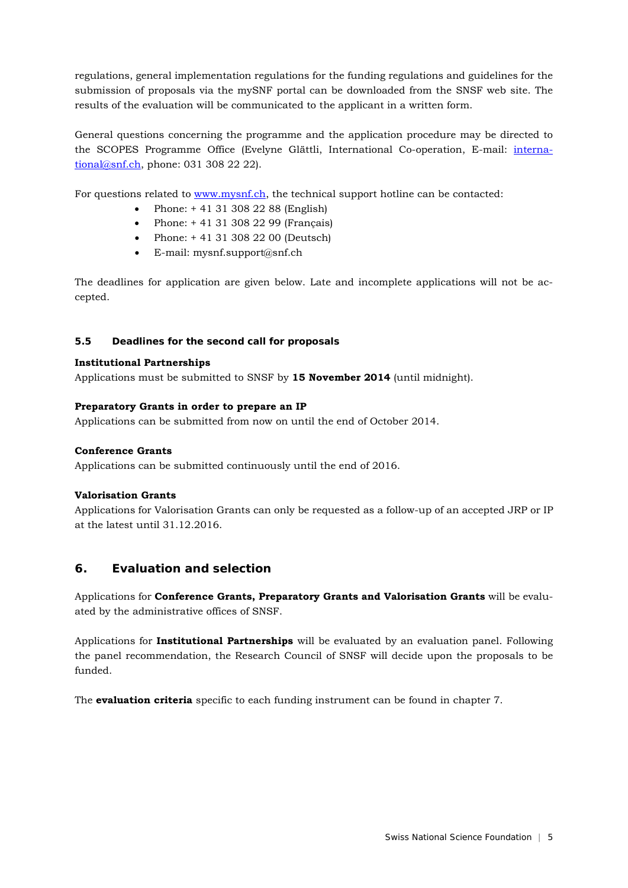regulations, general implementation regulations for the funding regulations and guidelines for the submission of proposals via the mySNF portal can be downloaded from the SNSF web site. The results of the evaluation will be communicated to the applicant in a written form.

General questions concerning the programme and the application procedure may be directed to the SCOPES Programme Office (Evelyne Glättli, International Co-operation, E-mail: [interna](mailto:international@snf.ch)[tional@snf.ch,](mailto:international@snf.ch) phone: 031 308 22 22).

For questions related to [www.mysnf.ch,](http://www.mysnf.ch/) the technical support hotline can be contacted:

- Phone: + 41 31 308 22 88 (English)
- Phone: + 41 31 308 22 99 (Français)
- Phone: +41 31 308 22 00 (Deutsch)
- E-mail: mysnf.support@snf.ch

The deadlines for application are given below. Late and incomplete applications will not be accepted.

#### **5.5 Deadlines for the second call for proposals**

#### **Institutional Partnerships**

Applications must be submitted to SNSF by **15 November 2014** (until midnight).

#### **Preparatory Grants in order to prepare an IP**

Applications can be submitted from now on until the end of October 2014.

#### **Conference Grants**

Applications can be submitted continuously until the end of 2016.

#### **Valorisation Grants**

Applications for Valorisation Grants can only be requested as a follow-up of an accepted JRP or IP at the latest until 31.12.2016.

#### **6. Evaluation and selection**

Applications for **Conference Grants, Preparatory Grants and Valorisation Grants** will be evaluated by the administrative offices of SNSF.

Applications for **Institutional Partnerships** will be evaluated by an evaluation panel. Following the panel recommendation, the Research Council of SNSF will decide upon the proposals to be funded.

The **evaluation criteria** specific to each funding instrument can be found in chapter 7.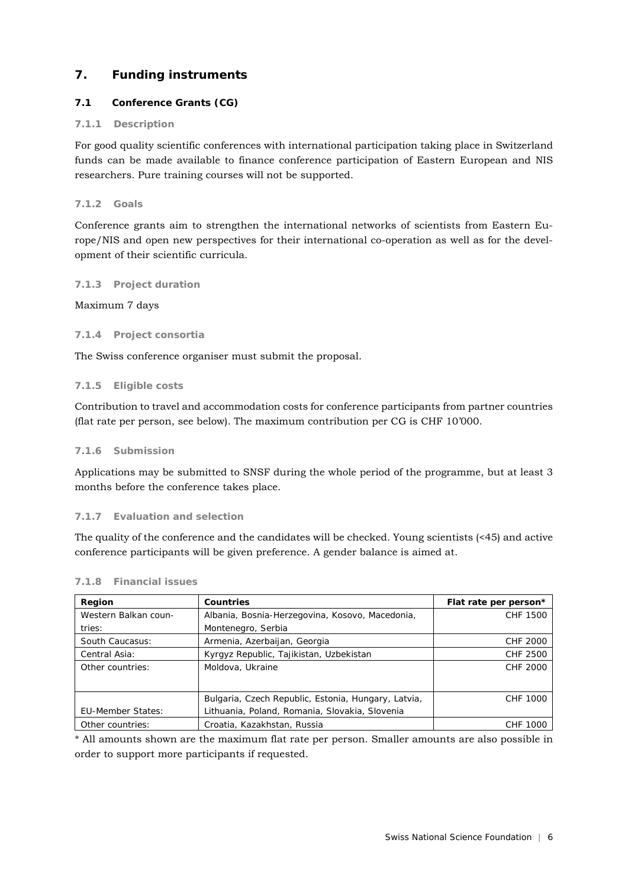## **7. Funding instruments**

## **7.1 Conference Grants (CG)**

#### **7.1.1 Description**

For good quality scientific conferences with international participation taking place in Switzerland funds can be made available to finance conference participation of Eastern European and NIS researchers. Pure training courses will not be supported.

#### **7.1.2 Goals**

Conference grants aim to strengthen the international networks of scientists from Eastern Europe/NIS and open new perspectives for their international co-operation as well as for the development of their scientific curricula.

#### **7.1.3 Project duration**

Maximum 7 days

#### **7.1.4 Project consortia**

The Swiss conference organiser must submit the proposal.

#### **7.1.5 Eligible costs**

Contribution to travel and accommodation costs for conference participants from partner countries (flat rate per person, see below). The maximum contribution per CG is CHF 10'000.

#### **7.1.6 Submission**

Applications may be submitted to SNSF during the whole period of the programme, but at least 3 months before the conference takes place.

#### **7.1.7 Evaluation and selection**

The quality of the conference and the candidates will be checked. Young scientists (<45) and active conference participants will be given preference. A gender balance is aimed at.

| Region                   | Countries                                           | Flat rate per person* |
|--------------------------|-----------------------------------------------------|-----------------------|
| Western Balkan coun-     | Albania, Bosnia-Herzegovina, Kosovo, Macedonia,     | CHF 1500              |
| tries:                   | Montenegro, Serbia                                  |                       |
| South Caucasus:          | Armenia, Azerbaijan, Georgia                        | CHF 2000              |
| Central Asia:            | Kyrgyz Republic, Tajikistan, Uzbekistan             | CHF 2500              |
| Other countries:         | Moldova, Ukraine                                    | CHF 2000              |
|                          |                                                     |                       |
|                          | Bulgaria, Czech Republic, Estonia, Hungary, Latvia, | CHF 1000              |
| <b>EU-Member States:</b> | Lithuania, Poland, Romania, Slovakia, Slovenia      |                       |
| Other countries:         | Croatia, Kazakhstan, Russia                         | <b>CHF 1000</b>       |

#### **7.1.8 Financial issues**

\* All amounts shown are the maximum flat rate per person. Smaller amounts are also possible in order to support more participants if requested.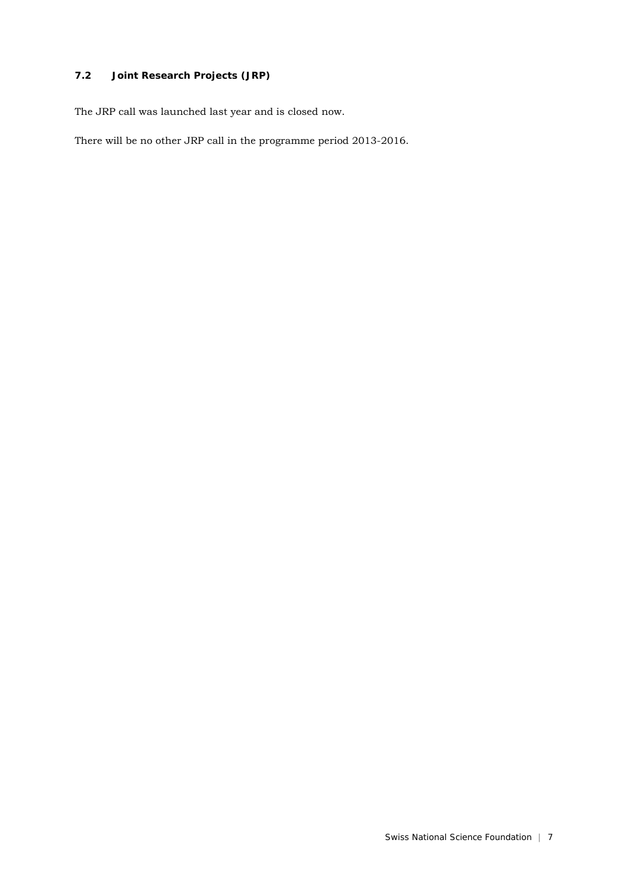## **7.2 Joint Research Projects (JRP)**

The JRP call was launched last year and is closed now.

There will be no other JRP call in the programme period 2013-2016.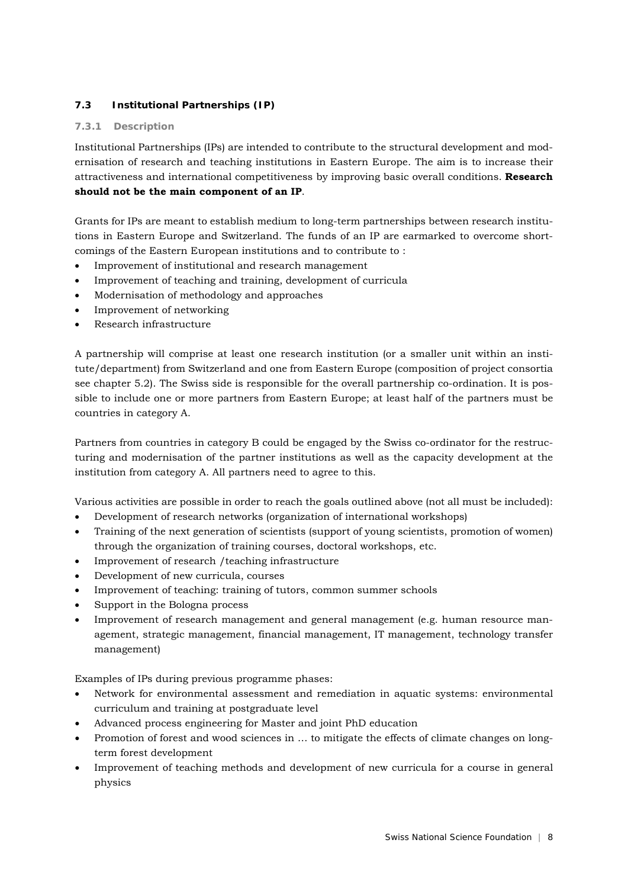## **7.3 Institutional Partnerships (IP)**

## **7.3.1 Description**

Institutional Partnerships (IPs) are intended to contribute to the structural development and modernisation of research and teaching institutions in Eastern Europe. The aim is to increase their attractiveness and international competitiveness by improving basic overall conditions. **Research should not be the main component of an IP**.

Grants for IPs are meant to establish medium to long-term partnerships between research institutions in Eastern Europe and Switzerland. The funds of an IP are earmarked to overcome shortcomings of the Eastern European institutions and to contribute to :

- Improvement of institutional and research management
- Improvement of teaching and training, development of curricula
- Modernisation of methodology and approaches
- Improvement of networking
- Research infrastructure

A partnership will comprise at least one research institution (or a smaller unit within an institute/department) from Switzerland and one from Eastern Europe (composition of project consortia see chapter 5.2). The Swiss side is responsible for the overall partnership co-ordination. It is possible to include one or more partners from Eastern Europe; at least half of the partners must be countries in category A.

Partners from countries in category B could be engaged by the Swiss co-ordinator for the restructuring and modernisation of the partner institutions as well as the capacity development at the institution from category A. All partners need to agree to this.

Various activities are possible in order to reach the goals outlined above (not all must be included):

- Development of research networks (organization of international workshops)
- Training of the next generation of scientists (support of young scientists, promotion of women) through the organization of training courses, doctoral workshops, etc.
- Improvement of research /teaching infrastructure
- Development of new curricula, courses
- Improvement of teaching: training of tutors, common summer schools
- Support in the Bologna process
- Improvement of research management and general management (e.g. human resource management, strategic management, financial management, IT management, technology transfer management)

Examples of IPs during previous programme phases:

- Network for environmental assessment and remediation in aquatic systems: environmental curriculum and training at postgraduate level
- Advanced process engineering for Master and joint PhD education
- Promotion of forest and wood sciences in … to mitigate the effects of climate changes on longterm forest development
- Improvement of teaching methods and development of new curricula for a course in general physics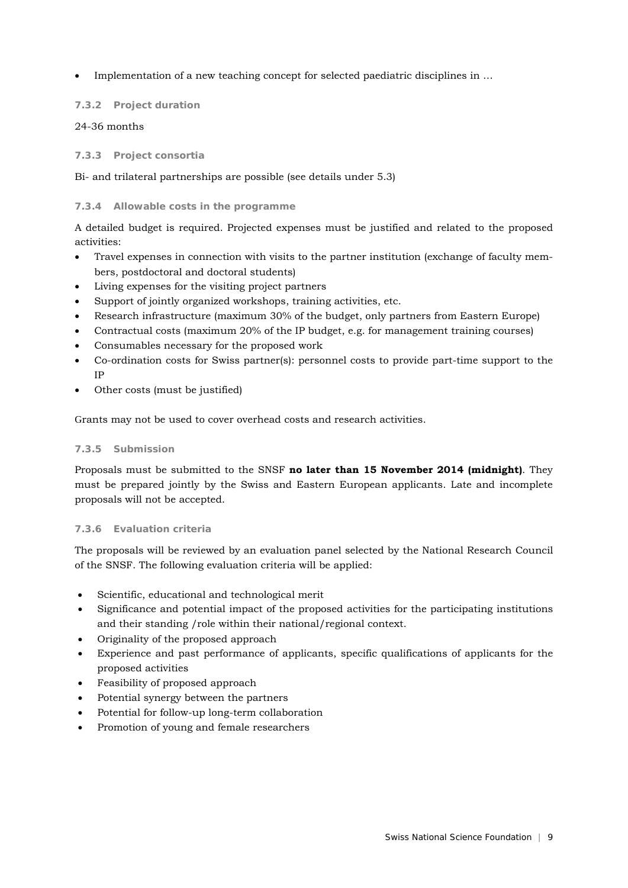Implementation of a new teaching concept for selected paediatric disciplines in ...

#### **7.3.2 Project duration**

#### 24-36 months

#### **7.3.3 Project consortia**

Bi- and trilateral partnerships are possible (see details under 5.3)

#### **7.3.4 Allowable costs in the programme**

A detailed budget is required. Projected expenses must be justified and related to the proposed activities:

- Travel expenses in connection with visits to the partner institution (exchange of faculty members, postdoctoral and doctoral students)
- Living expenses for the visiting project partners
- Support of jointly organized workshops, training activities, etc.
- Research infrastructure (maximum 30% of the budget, only partners from Eastern Europe)
- Contractual costs (maximum 20% of the IP budget, e.g. for management training courses)
- Consumables necessary for the proposed work
- Co-ordination costs for Swiss partner(s): personnel costs to provide part-time support to the IP
- Other costs (must be justified)

Grants may not be used to cover overhead costs and research activities.

#### **7.3.5 Submission**

Proposals must be submitted to the SNSF **no later than 15 November 2014 (midnight)**. They must be prepared jointly by the Swiss and Eastern European applicants. Late and incomplete proposals will not be accepted.

#### **7.3.6 Evaluation criteria**

The proposals will be reviewed by an evaluation panel selected by the National Research Council of the SNSF. The following evaluation criteria will be applied:

- Scientific, educational and technological merit
- Significance and potential impact of the proposed activities for the participating institutions and their standing /role within their national/regional context.
- Originality of the proposed approach
- Experience and past performance of applicants, specific qualifications of applicants for the proposed activities
- Feasibility of proposed approach
- Potential synergy between the partners
- Potential for follow-up long-term collaboration
- Promotion of young and female researchers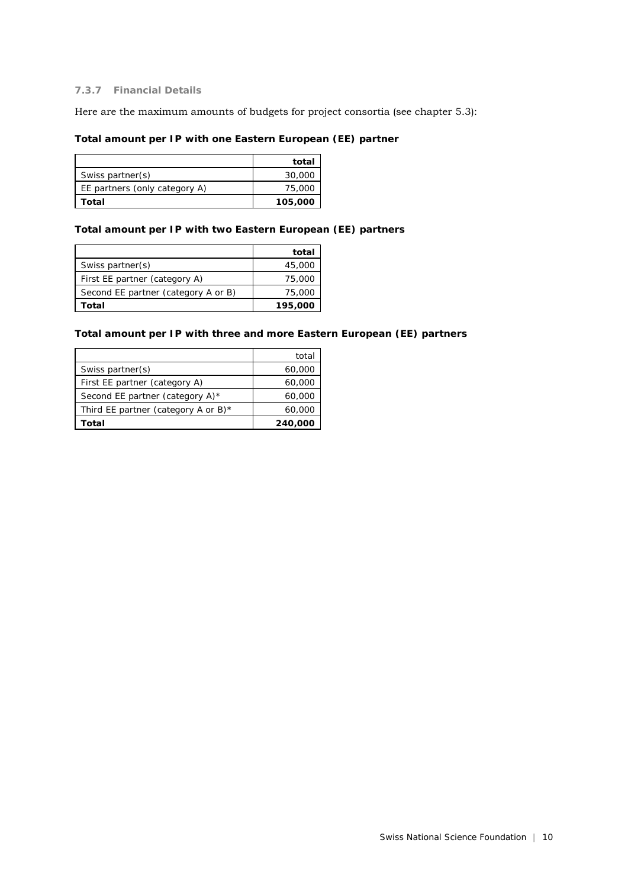#### **7.3.7 Financial Details**

Here are the maximum amounts of budgets for project consortia (see chapter 5.3):

#### **Total amount per IP with one Eastern European (EE) partner**

|                               | total   |
|-------------------------------|---------|
| Swiss partner(s)              | 30,000  |
| EE partners (only category A) | 75,000  |
| Total                         | 105,000 |

#### **Total amount per IP with two Eastern European (EE) partners**

|                                     | total   |
|-------------------------------------|---------|
| Swiss partner(s)                    | 45,000  |
| First EE partner (category A)       | 75,000  |
| Second EE partner (category A or B) | 75,000  |
| Total                               | 195,000 |

#### **Total amount per IP with three and more Eastern European (EE) partners**

|                                        | total   |
|----------------------------------------|---------|
| Swiss partner(s)                       | 60,000  |
| First EE partner (category A)          | 60,000  |
| Second EE partner (category A)*        | 60,000  |
| Third EE partner (category A or B) $*$ | 60,000  |
| Total                                  | 240,000 |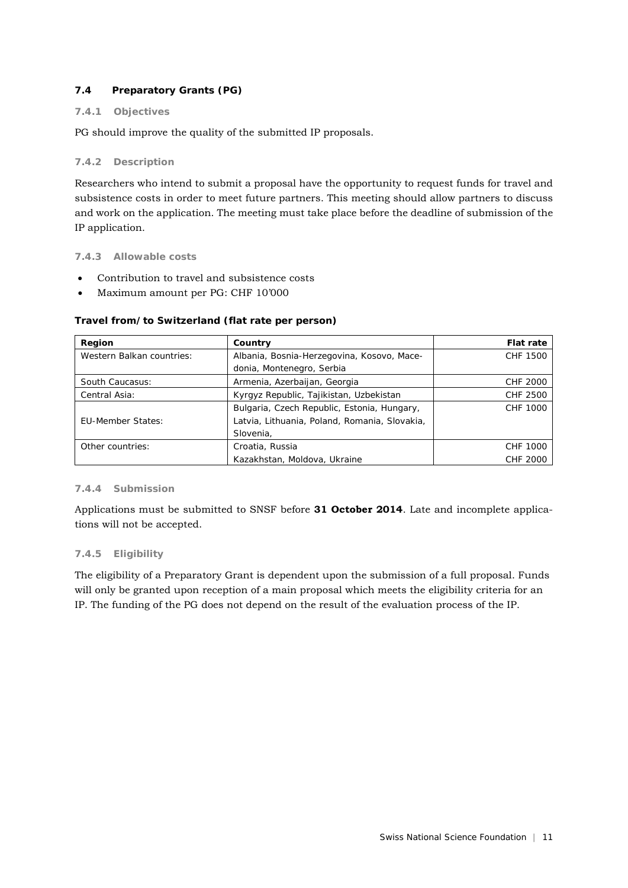## **7.4 Preparatory Grants (PG)**

#### **7.4.1 Objectives**

PG should improve the quality of the submitted IP proposals.

#### **7.4.2 Description**

Researchers who intend to submit a proposal have the opportunity to request funds for travel and subsistence costs in order to meet future partners. This meeting should allow partners to discuss and work on the application. The meeting must take place before the deadline of submission of the IP application.

#### **7.4.3 Allowable costs**

- Contribution to travel and subsistence costs
- Maximum amount per PG: CHF 10'000

#### **Travel from/to Switzerland (flat rate per person)**

| Region                    | Country                                       | <b>Flat rate</b> |
|---------------------------|-----------------------------------------------|------------------|
| Western Balkan countries: | Albania, Bosnia-Herzegovina, Kosovo, Mace-    | CHF 1500         |
|                           | donia, Montenegro, Serbia                     |                  |
| South Caucasus:           | Armenia, Azerbaijan, Georgia                  | CHF 2000         |
| Central Asia:             | Kyrgyz Republic, Tajikistan, Uzbekistan       | CHF 2500         |
|                           | Bulgaria, Czech Republic, Estonia, Hungary,   | CHF 1000         |
| EU-Member States:         | Latvia, Lithuania, Poland, Romania, Slovakia, |                  |
|                           | Slovenia,                                     |                  |
| Other countries:          | Croatia, Russia                               | CHF 1000         |
|                           | Kazakhstan, Moldova, Ukraine                  | CHF 2000         |

#### **7.4.4 Submission**

Applications must be submitted to SNSF before **31 October 2014**. Late and incomplete applications will not be accepted.

#### **7.4.5 Eligibility**

The eligibility of a Preparatory Grant is dependent upon the submission of a full proposal. Funds will only be granted upon reception of a main proposal which meets the eligibility criteria for an IP. The funding of the PG does not depend on the result of the evaluation process of the IP.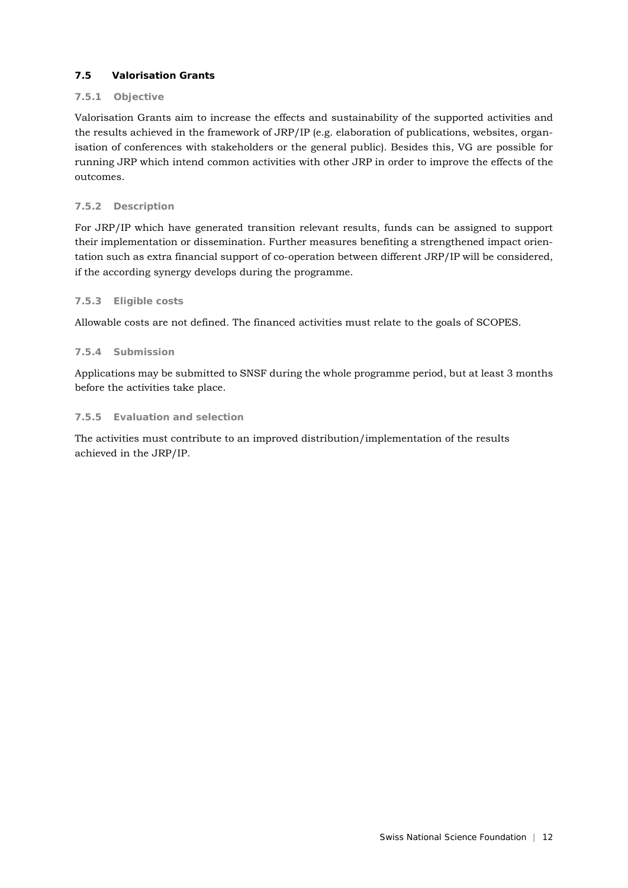### **7.5 Valorisation Grants**

### **7.5.1 Objective**

Valorisation Grants aim to increase the effects and sustainability of the supported activities and the results achieved in the framework of JRP/IP (e.g. elaboration of publications, websites, organisation of conferences with stakeholders or the general public). Besides this, VG are possible for running JRP which intend common activities with other JRP in order to improve the effects of the outcomes.

### **7.5.2 Description**

For JRP/IP which have generated transition relevant results, funds can be assigned to support their implementation or dissemination. Further measures benefiting a strengthened impact orientation such as extra financial support of co-operation between different JRP/IP will be considered, if the according synergy develops during the programme.

#### **7.5.3 Eligible costs**

Allowable costs are not defined. The financed activities must relate to the goals of SCOPES.

#### **7.5.4 Submission**

Applications may be submitted to SNSF during the whole programme period, but at least 3 months before the activities take place.

#### **7.5.5 Evaluation and selection**

The activities must contribute to an improved distribution/implementation of the results achieved in the JRP/IP.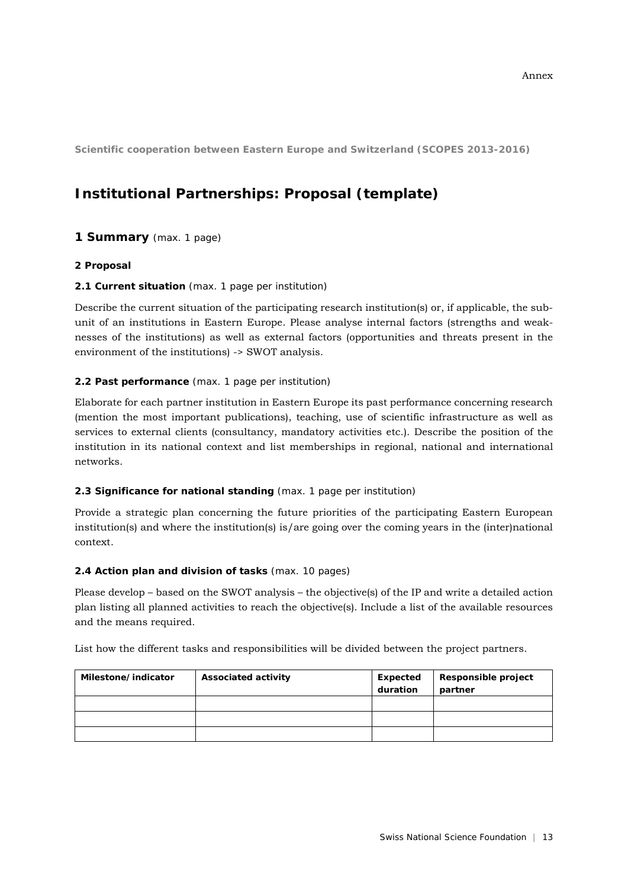**Scientific cooperation between Eastern Europe and Switzerland (SCOPES 2013-2016)**

# **Institutional Partnerships: Proposal (template)**

## **1 Summary** (max. 1 page)

#### **2 Proposal**

#### **2.1 Current situation** (max. 1 page per institution)

Describe the current situation of the participating research institution(s) or, if applicable, the subunit of an institutions in Eastern Europe. Please analyse internal factors (strengths and weaknesses of the institutions) as well as external factors (opportunities and threats present in the environment of the institutions) -> SWOT analysis.

#### **2.2 Past performance** (max. 1 page per institution)

Elaborate for each partner institution in Eastern Europe its past performance concerning research (mention the most important publications), teaching, use of scientific infrastructure as well as services to external clients (consultancy, mandatory activities etc.). Describe the position of the institution in its national context and list memberships in regional, national and international networks.

#### **2.3 Significance for national standing** (max. 1 page per institution)

Provide a strategic plan concerning the future priorities of the participating Eastern European institution(s) and where the institution(s) is/are going over the coming years in the (inter)national context.

#### **2.4 Action plan and division of tasks** (max. 10 pages)

Please develop – based on the SWOT analysis – the objective(s) of the IP and write a detailed action plan listing all planned activities to reach the objective(s). Include a list of the available resources and the means required.

List how the different tasks and responsibilities will be divided between the project partners.

| Milestone/indicator | <b>Associated activity</b> | Expected | Responsible project |
|---------------------|----------------------------|----------|---------------------|
|                     |                            | duration | partner             |
|                     |                            |          |                     |
|                     |                            |          |                     |
|                     |                            |          |                     |